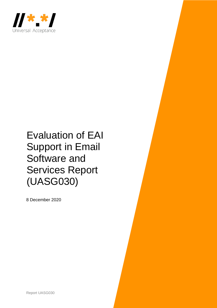

# Evaluation of EAI Support in Email Software and Services Report (UASG030)

8 December 2020

Report UASG030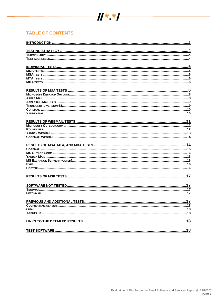

# **TABLE OF CONTENTS**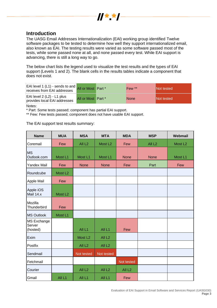

# <span id="page-2-0"></span>**Introduction**

The UASG Email Addresses Internationalization (EAI) working group identified Twelve software packages to be tested to determine how well they support internationalized email, also known as EAI. The testing results were varied as some software passed most of the tests, while some passed none at all, and none passed every test. While EAI support is advancing, there is still a long way to go.

The below chart lists the legend used to visualize the test results and the types of EAI support (Levels 1 and 2). The blank cells in the results tables indicate a component that does not exist.

| EAI level 1 (L1) - sends to and AII or Most Part *<br>receives from EAI addresses |                       | Few **      | <b>INot tested</b> |
|-----------------------------------------------------------------------------------|-----------------------|-------------|--------------------|
| EAI level 2 (L2) - L1 plus<br>provides local EAI addresses                        | All or Most   Part */ | <b>None</b> | <b>INot tested</b> |
| .                                                                                 |                       |             |                    |

Notes:

\* Part: Some tests passed; component has partial EAI support.

\*\* Few: Few tests passed; component does not have usable EAI support.

The EAI support test results summary:

| <b>Name</b>                              | <b>MUA</b>          | <b>MSA</b>          | <b>MTA</b>          | <b>MDA</b>         | <b>MSP</b>         | Webmail             |
|------------------------------------------|---------------------|---------------------|---------------------|--------------------|--------------------|---------------------|
| Coremail                                 | Few                 | All L <sub>2</sub>  | Most L <sub>2</sub> | Few                | All L <sub>2</sub> | Most L <sub>2</sub> |
| <b>MS</b><br>Outlook.com                 | Most L1             | Most L1             | Most L1             | <b>None</b>        | <b>None</b>        | Most L1             |
| <b>Yandex Mail</b>                       | Few                 | <b>None</b>         | <b>None</b>         | Few                | Part               | Few                 |
| Roundcube                                | Most L <sub>2</sub> |                     |                     |                    |                    |                     |
| Apple Mail                               | Few                 |                     |                     |                    |                    |                     |
| Apple iOS<br>Mail 14.x                   | Most L <sub>2</sub> |                     |                     |                    |                    |                     |
| Mozilla<br>Thunderbird                   | Few                 |                     |                     |                    |                    |                     |
| <b>MS Outlook</b>                        | Most L1             |                     |                     |                    |                    |                     |
| <b>MS Exchange</b><br>Server<br>(hosted) |                     | All L1              | All L1              | Few                |                    |                     |
| Exim                                     |                     | Most L <sub>2</sub> | All <sub>L2</sub>   |                    |                    |                     |
| Postfix                                  |                     | All L <sub>2</sub>  | All <sub>L2</sub>   |                    |                    |                     |
| Sendmail                                 |                     | Not tested          | Not tested          |                    |                    |                     |
| Fetchmail                                |                     |                     |                     | Not tested         |                    |                     |
| Courier                                  |                     | All L <sub>2</sub>  | All <sub>L2</sub>   | All L <sub>2</sub> |                    |                     |
| Gmail                                    | All <sub>L1</sub>   | All L1              | All L1              | Few                |                    |                     |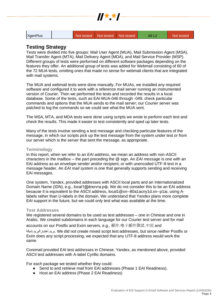|  | $\frac{1}{2}$ $\frac{1}{2}$ $\frac{1}{2}$ $\frac{1}{2}$ $\frac{1}{2}$ $\frac{1}{2}$ |  |  |
|--|-------------------------------------------------------------------------------------|--|--|
|  |                                                                                     |  |  |

XgenPlus Not tested Not tested Not tested All L2 Not tested

# <span id="page-3-0"></span>**Testing Strategy**

Tests were divided into five groups: Mail User Agent (MUA), Mail Submission Agent (MSA), Mail Transfer Agent (MTA), Mail Delivery Agent (MDA), and Mail Service Provider (MSP). Different groups of tests were performed on different software packages depending on the features they offer. An additional group of tests was added for Webmail consisting of 60 of the 72 MUA tests, omitting ones that made no sense for webmail clients that are integrated with mail systems.

The MUA and webmail tests were done manually. For MUAs, we installed any required software and configured it to work with a reference mail server running an instrumented version of Courier. Then we performed the tests and recorded the results in a local database. Some of the tests, such as EAI-MUA-046 through -049, check particular commands and options that the MUA sends to the mail server; our Courier server was patched to log the commands so we could see what the MUA sent.

The MSA, MTA, and MDA tests were done using scripts we wrote to perform each test and check the results. This made it easier to test consistently and sped up later tests.

Many of the tests involve sending a test message and checking particular features of the message, in which our scripts pick up the test message from the system under test or from our server which is the server that sent the message, as appropriate.

# <span id="page-3-1"></span>**Terminology**

In this report, when we refer to an *EAI address*, we mean an address with non-ASCII characters in the mailbox – the part preceding the @ sign. An *EAI message* is one with an EAI address as an envelope sender and/or recipient, or with unencoded UTF-8 text in a message header. An *EAI mail system* is one that generally supports sending and receiving EAI messages.

One system, Yandex, provided addresses with ASCII local parts and an Internationalized Domain Name (IDN), e.g., local1@ёпочта.рф. We do not consider this to be an EAI address because it is equivalent to the ASCII address, local1@xn--80a1acny1d.xn--p1ai, using Alabels rather than U-labels in the domain. We understand that Yandex plans more complete EAI support in the future, but we could only test what was available at the time.

## <span id="page-3-2"></span>**Test Addresses**

We registered several domains to be used as test addresses – one in Chinese and one in Arabic. We created subdomains in each language for our Courier test server and for mail

accounts on our Postfix and Exim servers, e.g., 邮件.电子邮件测试.中国 and

شبكة.اختبارالبريد.بريد. We did not create mixed script test addresses, but since neither Postfix or Exim does any script processing, we expected that any UTF-8 address would work the same.

Coremail provided EAI test addresses in Chinese. Yandex, as mentioned above, provided ASCII test addresses with A-label Cyrillic domains.

For each package we tested whether they could:

- Send to and retrieve mail from EAI addresses (Phase 1 EAI Readiness).
- Host an EAI address (Phase 2 EAI Readiness)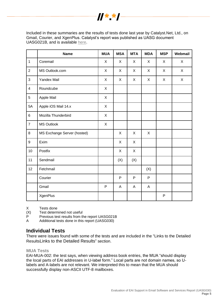

Included in these summaries are the results of tests done last year by Catalyst.Net, Ltd., on Gmail, Courier, and XgenPlus. Catalyst's report was published as UASG document UASG021B, and is available [here.](https://uasg.tech/wp-content/uploads/documents/UASG021B-en-digital.pdf)

|                         | <b>Name</b>                 | <b>MUA</b>   | <b>MSA</b> | <b>MTA</b> | <b>MDA</b> | <b>MSP</b> | Webmail |
|-------------------------|-----------------------------|--------------|------------|------------|------------|------------|---------|
| $\mathbf{1}$            | Coremail                    | X            | X          | X          | X          | X          | X       |
| $\overline{2}$          | MS Outlook.com              | X            | X          | X          | X          | X          | X       |
| $\mathbf{3}$            | <b>Yandex Mail</b>          | X            | X          | X          | X          | X          | X       |
| $\overline{\mathbf{4}}$ | Roundcube                   | X            |            |            |            |            |         |
| $\overline{5}$          | Apple Mail                  | $\mathsf{X}$ |            |            |            |            |         |
| 5A                      | Apple iOS Mail 14.x         |              |            |            |            |            |         |
| $\,6\,$                 | Mozilla Thunderbird         |              |            |            |            |            |         |
| $\overline{7}$          | <b>MS Outlook</b>           | $\mathsf{X}$ |            |            |            |            |         |
| 8                       | MS Exchange Server (hosted) |              | X          | X          | X          |            |         |
| $\boldsymbol{9}$        | Exim                        |              | X          | X          |            |            |         |
| 10                      | Postfix                     |              | X          | X          |            |            |         |
| 11                      | Sendmail                    |              | (X)        | (X)        |            |            |         |
| 12                      | Fetchmail                   |              |            |            | (X)        |            |         |
|                         | Courier                     |              | P          | P          | P          |            |         |
|                         | Gmail                       | $\mathsf{P}$ | A          | A          | A          |            |         |
|                         | <b>XgenPlus</b>             |              |            |            |            | P          |         |

X Tests done

 $(X)$  Test determined not useful<br>P Previous test results from the

Previous test results from the report UASG021B

A Additional tests done in this report (UASG030)

# <span id="page-4-0"></span>**Individual Tests**

There were issues found with some of the tests and are included in the ["Links to the Detailed](#page-17-2)  [Results](#page-17-2)[Links to the Detailed Results](#page-17-2)" section.

<span id="page-4-1"></span>**MUA Tests**

EAI-MUA-002: the test says, when viewing address book entries, the MUA "should display the local parts of EAI addresses in U-label form." Local parts are not domain names, so Ulabels and A-labels are not relevant. We interpreted this to mean that the MUA should successfully display non-ASCII UTF-8 mailboxes.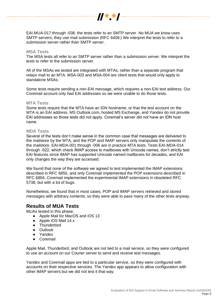

EAI-MUA-017 through -036: the tests refer to an SMTP server. No MUA we know uses SMTP servers; they use mail submission (RFC 6409.) We interpret the tests to refer to a submission server rather than SMTP server.

#### <span id="page-5-0"></span>**MSA Tests**

The MSA tests all refer to an SMTP server rather than a submission server. We interpret the tests to refer to the submission server.

All of the MSAs we tested are integrated with MTAs, rather than a separate program that relays mail to an MTA. MSA-003 and MSA-004 are client tests that would only apply to standalone MSAs.

Some tests require sending a non-EAI message, which requires a non-EAI test address. Our Coremail account only had EAI addresses so we were unable to do those tests.

## <span id="page-5-1"></span>**MTA Tests**

Some tests require that the MTA have an IDN hostname, or that the test account on the MTA is an EAI address. MS Outlook.com, hosted MS Exchange, and Yandex do not provide EAI addresses so those tests did not apply. Coremail's server did not have an IDN host name.

#### <span id="page-5-2"></span>**MDA Tests**

Several of the tests don't make sense in the common case that messages are delivered to the mailstore by the MTA, and the POP and IMAP servers only manipulate the contents of the mailstore. EAI-MDA-001 through -006 are in practice MTA tests. Tests EAI-MDA-014 through -022, which check IMAP access to mailboxes with Unicode names, don't strictly test EAI features since IMAP has supported Unicode named mailboxes for decades, and EAI only changes the way they are accessed.

We found that none of the software we agreed to test implemented the IMAP extensions described in RFC 6855, and only Coremail implemented the POP extensions described in RFC 6856. Coremail implemented the experimental IMAP extensions in obsoleted RFC 5738, but with a lot of bugs.

Nonetheless, we found that in most cases, POP and IMAP servers retrieved and stored messages with arbitrary contents, so they were able to pass many of the other tests anyway.

# <span id="page-5-3"></span>**Results of MUA Tests**

MUAs tested in this phase:

- Apple Mail for MacOS and iOS 13
- Apple iOS Mail 14.x
- Thunderbird
- Outlook
- Yandex
- Coremail

Apple Mail, Thunderbird, and Outlook are not tied to a mail service, so they were configured to use an account on our Courier server to send and receive test messages.

Yandex and Coremail apps are tied to a particular service, so they were configured with accounts on their respective services. The Yandex app appears to allow configuration with other IMAP servers but we did not test it that way.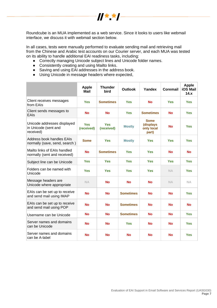

Roundcube is an MUA implemented as a web service. Since it looks to users like webmail interface, we discuss it with webmail section below.

In all cases, tests were manually performed to evaluate sending mail and retrieving mail from the Chinese and Arabic test accounts on our Courier server, and each MUA was tested on its ability to handle additional EAI readiness tasks, including:

- Correctly managing Unicode subject lines and Unicode folder names.
- Consistently creating and using Mailto links.
- Saving and using EAI addresses in the address book.
- Using Unicode in message headers where expected,

<span id="page-6-0"></span>

|                                                                  | <b>Apple</b><br><b>Mail</b> | <b>Thunder</b><br>bird                      | <b>Outlook</b>   | Yandex                                   | Coremail   | <b>Apple</b><br><b>iOS Mail</b><br>14.x |
|------------------------------------------------------------------|-----------------------------|---------------------------------------------|------------------|------------------------------------------|------------|-----------------------------------------|
| Client receives messages<br>from EAIs                            | <b>Yes</b>                  | <b>Sometimes</b>                            | <b>Yes</b>       | <b>No</b>                                | <b>Yes</b> | <b>Yes</b>                              |
| Client sends messages to<br>EAIs                                 | <b>No</b>                   | <b>No</b><br><b>Sometimes</b><br><b>Yes</b> |                  | <b>No</b>                                | <b>Yes</b> |                                         |
| Unicode addresses displayed<br>in Unicode (sent and<br>received) | <b>Yes</b><br>(received)    | <b>Yes</b><br>(received)                    | <b>Mostly</b>    | Some<br>(displays<br>only local<br>part) | <b>No</b>  | <b>Yes</b>                              |
| Address book handles EAIs<br>normally (save, send, search)       | <b>Some</b>                 | <b>Yes</b>                                  | <b>Mostly</b>    | <b>Yes</b>                               | <b>Yes</b> | <b>Yes</b>                              |
| Mailto links of EAIs handled<br>normally (sent and received)     | <b>No</b>                   | <b>Sometimes</b>                            | <b>Yes</b>       | <b>Yes</b>                               | <b>No</b>  | <b>No</b>                               |
| Subject line can be Unicode                                      | <b>Yes</b>                  | <b>Yes</b>                                  | <b>Yes</b>       | <b>Yes</b>                               | <b>Yes</b> | <b>Yes</b>                              |
| Folders can be named with<br>Unicode                             | <b>Yes</b>                  | <b>Yes</b>                                  | <b>Yes</b>       | <b>Yes</b>                               | <b>NA</b>  | <b>Yes</b>                              |
| Message headers are<br>Unicode where appropriate                 | <b>NA</b>                   | No                                          | <b>No</b>        | No                                       | <b>NA</b>  | <b>NA</b>                               |
| EAIs can be set up to receive<br>and send mail using IMAP        | <b>No</b>                   | <b>No</b>                                   | <b>Sometimes</b> | <b>No</b>                                | <b>No</b>  | <b>Yes</b>                              |
| EAIs can be set up to receive<br>and send mail using POP         | <b>No</b>                   | <b>No</b>                                   | <b>Sometimes</b> | <b>No</b>                                | <b>No</b>  | <b>No</b>                               |
| Username can be Unicode                                          | <b>No</b>                   | <b>No</b>                                   | <b>Sometimes</b> | <b>No</b>                                | <b>No</b>  | <b>Yes</b>                              |
| Server names and domains<br>can be Unicode                       | <b>No</b>                   | No                                          | <b>Yes</b>       | No                                       | <b>No</b>  | <b>Yes</b>                              |
| Server names and domains<br>can be A-label                       | <b>No</b>                   | <b>No</b>                                   | No               | <b>No</b>                                | <b>No</b>  | <b>Yes</b>                              |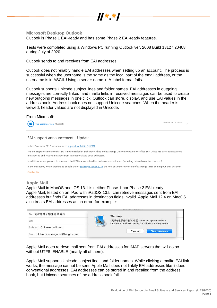

# **Microsoft Desktop Outlook**

Outlook is Phase 1 EAI-ready and has some Phase 2 EAI-ready features.

Tests were completed using a Windows PC running Outlook ver. 2008 Build 13127.20408 during July of 2020.

Outlook sends to and receives from EAI addresses.

Outlook does not reliably handle EAI addresses when setting up an account. The process is successful when the username is the same as the local part of the email address, or the username is in ASCII. Using a server name in A-label format fails.

Outlook supports Unicode subject lines and folder names. EAI addresses in outgoing messages are correctly linked, and mailto links in received messages can be used to create new outgoing messages in one click. Outlook can store, display, and use EAI values in the address book. Address book does not support Unicode searches. When the header is viewed, header values are not displayed in Unicode.

## From Microsoft:

The Exchange Team Microsoft

02-26-2018 09:36 AM

# EAI support announcement - Update

In late December 2017, we announced support for EAI in Q1 2018.

We are happy to announce that EAI is now enabled in Exchange Online and Exchange Online Protection for Office 365. Office 365 users can now send messages to and receive messages from internationalized email addresses.

In addition, we are pleased to announce that EAI is also enabled for outlook.com customers (including hotmail.com, live.com, etc.).

In the meantime, we are working to enable EAI for Exchange Server 2019, the new on-premises version of Exchange that's coming out later this year.

Carolyn Liu

## <span id="page-7-0"></span>**Apple Mail**

Apple Mail in MacOS and iOS 13.1 is neither Phase 1 nor Phase 2 EAI-ready. Apple Mail, tested on an iPad with iPadOS 13.5, can retrieve messages sent from EAI addresses but finds EAI addresses in destination fields invalid. Apple Mail 12.4 on MacOS also treats EAI addresses as an error, for example:

| To: 测试@电子邮件测试.中国                    | Warning                                                                                          |
|-------------------------------------|--------------------------------------------------------------------------------------------------|
| $Cc$ :                              | "测试@电子邮件测试.中国" does not appear to be a<br>valid email address. Verify the address and try again. |
| Subject: Chinese mail test          |                                                                                                  |
| From: John Levine - johnl@taugh.com | Cancel<br><b>Send Anyway</b>                                                                     |

Apple Mail does retrieve mail sent from EAI addresses for IMAP servers that will do so without UTF8=ENABLE (nearly all of them).

Apple Mail supports Unicode subject lines and folder names. While clicking a mailto EAI link works, the message cannot be sent. Apple Mail does not linkify EAI addresses like it does conventional addresses. EAI addresses can be stored in and recalled from the address book, but Unicode searches of the address book fail.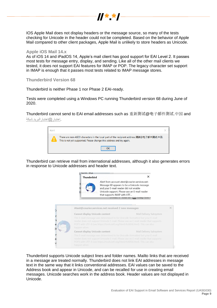

IOS Apple Mail does not display headers or the message source, so many of the tests checking for Unicode in the header could not be completed. Based on the behavior of Apple Mail compared to other client packages, Apple Mail is unlikely to store headers as Unicode.

## <span id="page-8-0"></span>**Apple iOS Mail 14.x**

As of iOS 14 and iPadOS 14, Apple's mail client has good support for EAI Level 2. It passes most tests for message entry, display, and sending. Like all of the other mail clients we tested, it does not support EAI features for IMAP or POP. The legacy character set support in IMAP is enough that it passes most tests related to IMAP message stores.

#### <span id="page-8-1"></span>**Thunderbird Version 68**

Thunderbird is neither Phase 1 nor Phase 2 EAI-ready.

Tests were completed using a Windows PC running Thunderbird version 68 during June of 2020.

Thunderbird cannot send to EAI email addresses such as 重新测试@电子邮件测试.中国 and [.اختبار@اختبارالبريد.شبكة](mailto:اختبار@اختبارالبريد.شبكة)



Thunderbird can retrieve mail from international addresses, although it also generates errors in response to Unicode addresses and header text.



Thunderbird supports Unicode subject lines and folder names. Mailto links that are received in a message are treated normally. Thunderbird does not link EAI addresses in message text in the same way that it links conventional addresses. EAI values can be saved to the Address book and appear in Unicode, and can be recalled for use in creating email messages. Unicode searches work in the address book. Header values are not displayed in Unicode.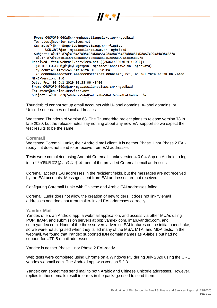

 $H**I$ 

Thunderbird cannot set up email accounts with U-label domains, A-label domains, or Unicode usernames or local addresses.

We tested Thunderbird version 68. The Thunderbird project plans to release version 78 in late 2020, but the release notes say nothing about any new EAI support so we expect the test results to be the same.

#### <span id="page-9-0"></span>**Coremail**

We tested Coremail Lunkr, their Android mail client. It is neither Phase 1 nor Phase 2 EAIready – it does not send to or receive from EAI addresses.

Tests were completed using Android Coremail Lunkr version 4.0.0.4 App on Android to log in to 中文邮测试2@互联网.中国, one of the provided Coremail email addresses.

Coremail accepts EAI addresses in the recipient fields, but the messages are not received by the EAI accounts. Messages sent from EAI addresses are not received.

Configuring Coremail Lunkr with Chinese and Arabic EAI addresses failed.

Coremail Lunkr does not allow the creation of new folders. It does not linkify email addresses and does not treat mailto-linked EAI addresses correctly.

#### <span id="page-9-1"></span>**Yandex Mail**

Yandex offers an Android app, a webmail application, and access via other MUAs using POP, IMAP, and submission servers at pop.yandex.com, imap.yandex.com, and smtp.yandex.com. None of the three servers advertise EAI features on the initial handshake, so we were not surprised when they failed many of the MSA, MTA, and MDA tests. In the webmail, we found that Yandex supported IDN domain names as A-labels but had no support for UTF-8 email addresses.

Yandex is neither Phase 1 nor Phase 2 EAI-ready.

Web tests were completed using Chrome on a Windows PC during July 2020 using the URL yandex.webmail.com. The Android app was version 5.2.3.

Yandex can sometimes send mail to both Arabic and Chinese Unicode addresses. However, replies to those emails result in errors in the package used to send them.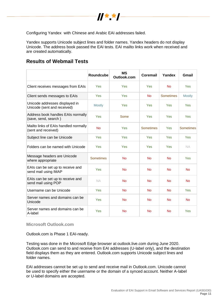

Configuring Yandex with Chinese and Arabic EAI addresses failed.

Yandex supports Unicode subject lines and folder names. Yandex headers do not display Unicode. The address book passed the EAI tests. EAI mailto links work when received and are created automatically.

# <span id="page-10-0"></span>**Results of Webmail Tests**

|                                                               | Roundcube        | <b>MS</b><br>Outlook.com | Coremail         | Yandex           | Gmail            |
|---------------------------------------------------------------|------------------|--------------------------|------------------|------------------|------------------|
| Client receives messages from EAIs                            | Yes              | Yes                      | Yes              | <b>No</b>        | Yes              |
| Client sends messages to EAIs                                 | Yes              | Yes                      | <b>No</b>        | <b>Sometimes</b> | <b>Mostly</b>    |
| Unicode addresses displayed in<br>Unicode (sent and received) | <b>Mostly</b>    | Yes                      | Yes              | Yes              | Yes              |
| Address book handles EAIs normally<br>(save, send, search)    | Yes              | Some                     | Yes              | Yes              | Yes              |
| Mailto links of EAIs handled normally<br>(sent and received)  | <b>No</b>        | Yes                      | <b>Sometimes</b> | Yes              | <b>Sometimes</b> |
| Subject line can be Unicode                                   | Yes              | Yes                      | Yes              | Yes              | Yes              |
| Folders can be named with Unicode                             | Yes              | Yes                      | Yes              | Yes              | NA.              |
| Message headers are Unicode<br>where appropriate              | <b>Sometimes</b> | <b>No</b>                | <b>No</b>        | <b>No</b>        | <b>Yes</b>       |
| EAIs can be set up to receive and<br>send mail using IMAP     | Yes              | <b>No</b>                | <b>No</b>        | <b>No</b>        | <b>No</b>        |
| EAIs can be set up to receive and<br>send mail using POP      | <b>NA</b>        | <b>No</b>                | <b>No</b>        | <b>No</b>        | <b>No</b>        |
| Username can be Unicode                                       | Yes              | <b>No</b>                | <b>No</b>        | <b>No</b>        | Yes              |
| Server names and domains can be<br>Unicode                    | Yes              | <b>No</b>                | <b>No</b>        | <b>No</b>        | <b>No</b>        |
| Server names and domains can be<br>A-label                    | Yes              | <b>No</b>                | <b>No</b>        | <b>No</b>        | Yes              |

<span id="page-10-1"></span>**Microsoft Outlook.com**

Outlook.com is Phase 1 EAI-ready.

Testing was done in the Microsoft Edge browser at outlook.live.com during June 2020. Outlook.com can send to and receive from EAI addresses (U-label only), and the destination field displays them as they are entered. Outlook.com supports Unicode subject lines and folder names.

EAI addresses cannot be set up to send and receive mail in Outlook.com. Unicode cannot be used to specify either the username or the domain of a synced account. Neither A-label or U-label domains are accepted.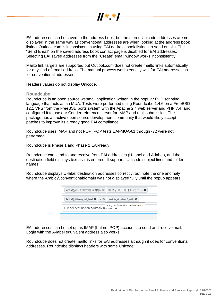

EAI addresses can be saved to the address book, but the stored Unicode addresses are not displayed in the same way as conventional addresses are when looking at the address book listing. Outlook.com is inconsistent in using EAI address book listings to send emails. The "Send Email" on the saved address book contact page is disabled for EAI addresses. Selecting EAI saved addresses from the "Create" email window works inconsistently.

Mailto link targets are supported but Outlook.com does not create mailto links automatically for any kind of email address. The manual process works equally well for EAI addresses as for conventional addresses.

<span id="page-11-0"></span>Headers values do not display Unicode.

# **Roundcube**

Roundcube is an open source webmail application written in the popular PHP scripting language that acts as an MUA. Tests were performed using Roundcube 1.4.6 on a FreeBSD 12.1 VPS from the FreeBSD ports system with the Apache 2.4 web server and PHP 7.4, and configured it to use our Courier reference server for IMAP and mail submission. The package has an active open source development community that would likely accept patches to improve its already good EAI compliance.

Roundcube uses IMAP and not POP; POP tests EAI-MUA-61 through -72 were not performed.

Roundcube is Phase 1 and Phase 2 EAI-ready.

Roundcube can send to and receive from EAI addresses (U-label and A-label), and the destination field displays text as it is entered. It supports Unicode subject lines and folder names.

Roundcube displays U-label destination addresses correctly, but note the one anomaly where the Arabic@conventionaldomain was not displayed fully until the popup appears:

| atest@电子邮件测试.中国 ×   测试@电子邮件测试.中国 ×                                                                         |
|------------------------------------------------------------------------------------------------------------|
| ★ اختبار @اختبار البريد شبكة    × <    × اختبار البريد شبكة@btest                                          |
| <courier.services.net@اختبار>&lt;<br/>U-label destination address, Roundouve</courier.services.net@اختبار> |
|                                                                                                            |

EAI addresses can be set up as IMAP (but not POP) accounts to send and receive mail. Login with the A-label equivalent address also works.

Roundcube does not create mailto links for EAI addresses although it does for conventional addresses. Roundcube displays headers with some Unicode: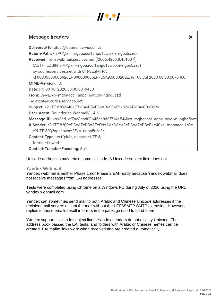

| Delivered-To: atest@courier.services.net                                                                                                                        |
|-----------------------------------------------------------------------------------------------------------------------------------------------------------------|
| Return-Path: < اختبار)@xn--mgbaacci1anpc1swc.xn--ngbc5azd                                                                                                       |
| Received: from webmail.services.net ([2606:4300:0:4::1007])                                                                                                     |
| (AUTH: LOGIN کڠبار)@xn--mgbaacci1anpc1swc.xn--ngbc5azd)                                                                                                         |
| by courier.services.net with UTF8ESMTPA                                                                                                                         |
| id 00000000000626EF.000000005EFF26A9.0000202E; Fri, 03 Jul 2020 08:38:00 -0400                                                                                  |
| MIME-Version: 1.0                                                                                                                                               |
| Date: Fri, 03 Jul 2020 08:38:00 -0400                                                                                                                           |
| <b>From:</b> اختبار)@xn--mgbaacci1anpc1swc.xn--ngbc5azd                                                                                                         |
| To: atest@courier.services.net                                                                                                                                  |
| Subject: =?UTF-8?Q?=40=E7=94=B5=E5=AD=90=E9=82=AE=E4=BB=B6?=                                                                                                    |
| User-Agent: Roundcube Webmail/1.4.6                                                                                                                             |
| Message-ID: <b93cd1df7ac8aad00645dc8d0f714a54@xn--mgbaacci1anpc1swc.xn--ngbc5azc< td=""></b93cd1df7ac8aad00645dc8d0f714a54@xn--mgbaacci1anpc1swc.xn--ngbc5azc<> |
| <b>X-Sender:</b> =?UTF-8?Q?=D8=A7=D8=AE=D8=AA=D8=A8=D8=A7=D8=B1=40xn--mgbaacci1a?=                                                                              |
| =?UTF-8?Q?npc1swc=2Exn--ngbc5azd?=                                                                                                                              |
| Content-Type: text/plain; charset=UTF-8;                                                                                                                        |
| format=flowed                                                                                                                                                   |
| Content-Transfer-Encoding: 8bit                                                                                                                                 |

Unicode addresses may retain some Unicode. A Unicode subject field does not.

## <span id="page-12-0"></span>**Yandex Webmail**

Yandex webmail is neither Phase 1 nor Phase 2 EAI-ready because Yandex webmail does not receive messages from EAI addresses.

Tests were completed using Chrome on a Windows PC during July of 2020 using the URL yandex.webmail.com.

Yandex can sometimes send mail to both Arabic and Chinese Unicode addresses if the recipient mail servers accept the mail without the UTF8SMTP SMTP extension. However, replies to those emails result in errors in the package used to send them.

Yandex supports Unicode subject lines. Yandex headers do not display Unicode. The address book passed the EAI tests, and folders with Arabic or Chinese names can be created. EAI mailto links work when received and are created automatically.

X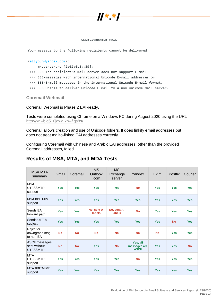

#### UNDELIVERABLE MAIL

Your message to the following recipients cannot be delivered:

#### <allyb.r@yandex.com>:

mx.yandex.ru [2a02:6b8::89]: <<< 553-The recipient's mail server does not support E-mail <<< 553-messages with international Unicode E-mail addresses or <<< 553-E-mail messages in the international Unicode E-mail format. <<< 553 Unable to deliver Unicode E-mail to a non-Unicode mail server.

<span id="page-13-0"></span>**Coremail Webmail** 

Coremail Webmail is Phase 2 EAI-ready.

Tests were completed using Chrome on a Windows PC during August 2020 using the URL [http://xn--blq510jgwa.xn--fiqs8s/.](http://互联网.中国/)

Coremail allows creation and use of Unicode folders. It does linkify email addresses but does not treat mailto-linked EAI addresses correctly.

Configuring Coremail with Chinese and Arabic EAI addresses, other than the provided Coremail addresses, failed.

# <span id="page-13-1"></span>**Results of MSA, MTA, and MDA Tests**

| <b>MSA MTA</b><br>summary                         | Gmail      | Coremail   | <b>MS</b><br><b>Outlook</b><br>.com | <b>MS</b><br>Exchange<br>server | Yandex                                   | Exim       | Postfix    | Courier    |
|---------------------------------------------------|------------|------------|-------------------------------------|---------------------------------|------------------------------------------|------------|------------|------------|
| <b>MSA</b><br>UTF8SMTP<br>support                 | <b>Yes</b> | <b>Yes</b> | <b>Yes</b>                          | <b>Yes</b>                      | <b>No</b>                                | <b>Yes</b> | <b>Yes</b> | <b>Yes</b> |
| <b>MSA 8BITMIME</b><br>support                    | <b>Yes</b> | <b>Yes</b> | <b>Yes</b>                          | <b>Yes</b>                      | <b>Yes</b>                               | <b>Yes</b> | <b>Yes</b> | <b>Yes</b> |
| Sends EAI<br>forward path                         | <b>Yes</b> | <b>Yes</b> | No. sent A-<br><b>labels</b>        | No. sent A-<br><b>labels</b>    | <b>No</b>                                | Yes        | <b>Yes</b> | <b>Yes</b> |
| Sends UTF-8<br>subject                            | <b>Yes</b> | <b>Yes</b> | <b>Yes</b>                          | <b>Yes</b>                      | <b>Yes</b>                               | <b>Yes</b> | <b>No</b>  | <b>Yes</b> |
| Reject or<br>downgrade msg<br>to non-EAI          | <b>No</b>  | <b>No</b>  | <b>No</b>                           | <b>No</b>                       | <b>No</b>                                | <b>No</b>  | <b>Yes</b> | <b>Yes</b> |
| <b>ASCII messages</b><br>sent without<br>UTF8SMTP | <b>No</b>  | <b>No</b>  | <b>Yes</b>                          | <b>No</b>                       | Yes, all<br>messages are<br><b>ASCII</b> | <b>Yes</b> | <b>Yes</b> | <b>No</b>  |
| <b>MTA</b><br>UTF8SMTP<br>support                 | <b>Yes</b> | <b>Yes</b> | <b>Yes</b>                          | <b>Yes</b>                      | <b>No</b>                                | <b>Yes</b> | <b>Yes</b> | <b>Yes</b> |
| MTA 8BITMIME<br>support                           | <b>Yes</b> | <b>Yes</b> | <b>Yes</b>                          | <b>Yes</b>                      | <b>Yes</b>                               | <b>Yes</b> | <b>Yes</b> | <b>Yes</b> |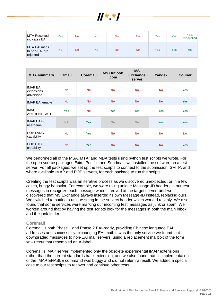

| MTA Received<br>Indicates EAI              | Yes       | No        | <b>No</b> | No.       | <b>No</b> | Yes | Yes | Yes,<br>misspelled |
|--------------------------------------------|-----------|-----------|-----------|-----------|-----------|-----|-----|--------------------|
| MTA EAI msgs<br>to non-EAI are<br>rejected | <b>No</b> | <b>No</b> | <b>No</b> | <b>No</b> | <b>No</b> | Yes | Yes | Yes                |

| <b>MDA summary</b>                          | Gmail      | <b>Coremail</b> | <b>MS Outlook</b><br>.com | <b>MS</b><br><b>Exchange</b><br>server | Yandex     | <b>Courier</b> |
|---------------------------------------------|------------|-----------------|---------------------------|----------------------------------------|------------|----------------|
| <b>IMAP EAI</b><br>extensions<br>advertised | <b>No</b>  | <b>No</b>       | <b>No</b>                 | <b>No</b>                              | <b>No</b>  | <b>Yes</b>     |
| <b>IMAP EAI enable</b>                      | <b>No</b>  | <b>No</b>       | <b>No</b>                 | <b>No</b>                              | <b>No</b>  | <b>Yes</b>     |
| <b>IMAP</b><br><b>AUTHENTICATE</b>          | <b>Yes</b> | <b>No</b>       | <b>Yes</b>                | <b>Yes</b>                             | <b>Yes</b> | <b>Yes</b>     |
| <b>IMAP UTF-8</b><br>username               | <b>NA</b>  | <b>Yes</b>      | <b>NA</b>                 | <b>NA</b>                              | <b>Yes</b> | <b>Yes</b>     |
| <b>POP LANG</b><br>capability               | <b>No</b>  | <b>Yes</b>      | <b>No</b>                 | <b>No</b>                              | <b>No</b>  | <b>No</b>      |
| POP UTF8<br>capability                      | <b>No</b>  | <b>Yes</b>      | <b>No</b>                 | <b>No</b>                              | <b>No</b>  | <b>Yes</b>     |

We performed all of the MSA, MTA, and MDA tests using python test scripts we wrote. For the open source packages Exim, Postfix, and Sendmail, we installed the software on a test server. For all packages, we set up the test scripts to connect to the submission, SMTP, and where available IMAP and POP servers, for each package to run the scripts.

Creating the test scripts was an iterative process as we discovered unexpected, or in a few cases, buggy behavior. For example, we were using unique Message-ID headers in our test messages to recognize each message when it arrived at the target server, until we discovered that MS Exchange always inserted its own Message-ID instead, replacing ours. We switched to putting a unique string in the subject header which worked reliably. We also found that some services were marking our incoming test messages as junk or spam. We worked around that by having the test scripts look for the messages in both the main inbox and the junk folder.

## <span id="page-14-0"></span>**Coremail**

Coremail is both Phase 1 and Phase 2 EAI-ready, providing Chinese language EAI addresses and successfully exchanging EAI mail. It was the only service we found that downgraded messages to non-EAI mail servers, using a replacement mailbox of the form xn--<text> that resembled an A-label.

<span id="page-14-1"></span>Coremail's IMAP server implemented only the obsolete experimental IMAP extensions rather than the current standards track extension, and we also found that its implementation of the IMAP ENABLE command was buggy and did not return a result. We added a special case to our test scripts to recover and continue other tests.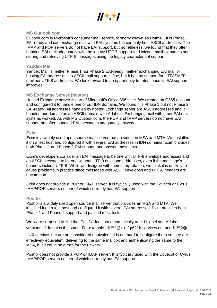

## **MS Outlook.com**

Outlook.com is Microsoft's consumer mail service, formerly known as Hotmail. It is Phase 1 EAI-ready and can exchange mail with EAI systems but can only host ASCII addresses. The IMAP and POP servers do not have EAI support, but nonetheless, we found that they often handled EAI mail adequately with the legacy UTF-7 support for Unicode mailbox names and storing and retrieving UTF-8 messages using the legacy character set support.

## <span id="page-15-0"></span>**Yandex Mail**

Yandex Mail is neither Phase 1 nor Phase 2 EAI-ready, neither exchanging EAI mail or hosting EAI addresses. Its ASCII mail support is fine, but it has no support for UTF8SMTP mail nor UTF-8 addresses. We look forward to an opportunity to retest once its EAI support improves.

# <span id="page-15-1"></span>**MS Exchange Server (hosted)**

Hosted Exchange server is part of Microsoft's Office 365 suite. We created an O365 account and configured it to handle one of our IDN domains. We found it is Phase 1 but not Phase 2 EAI-ready. All addresses handled by hosted Exchange server are ASCII addresses and it handled our domain as an ASCII domain with A-labels. Exchanging mail with other EAI mail systems worked. As with MS Outlook.com, the POP and IMAP servers do not have EAI support but often handled EAI messages adequately anyway.

#### <span id="page-15-2"></span>**Exim**

Exim is a widely used open source mail server that provides an MSA and MTA. We installed it on a test host and configured it with several EAI addresses in IDN domains. Exim provides both Phase 1 and Phase 2 EAI support and passed most tests.

Exim's developers consider an EAI message to be one with UTF-8 envelope addresses and an ASCII message to be one without UTF-8 envelope addresses, even if the message's headers include UTF-8. While we disagree with their interpretation, we think it is unlikely to cause problems in practice since messages with ASCII envelopes and UTF-8 headers are uncommon.

Exim does not provide a POP or IMAP server. It is typically used with the Dovecot or Cyrus IMAP/POP servers neither of which currently has EAI support.

# <span id="page-15-3"></span>**Postfix**

Postfix is a widely used open source mail server that provides an MSA and MTA. We installed it on a test host and configured it with several EAI addresses. Exim provides both Phase 1 and Phase 2 support and passed most tests.

We were surprised to find that Postfix does not automatically treat U-label and A-label versions of domains the same. For example, 用户2@xn--fqr621h.services.net and 用户2@

后缀.services.net are not considered equivalent. It is not hard to configure them so they are effectively equivalent, delivering to the same mailbox and authenticating the same to the MSA, but it could be a trap for the unwary.

<span id="page-15-4"></span>Postfix does not provide a POP or IMAP server. It is typically used with the Dovecot or Cyrus IMAP/POP servers neither of which currently has EAI support.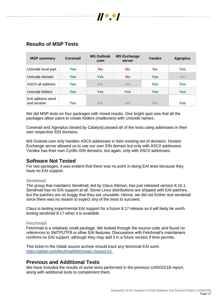

# **Results of MSP Tests**

| <b>MSP summary</b>              | <b>Coremail</b> | <b>MS Outlook</b><br>.com | <b>MS Exchange</b><br>server | Yandex     | <b>Xgenplus</b> |
|---------------------------------|-----------------|---------------------------|------------------------------|------------|-----------------|
| Unicode local part              | Yes             | <b>No</b>                 | <b>No</b>                    | <b>No</b>  | <b>Yes</b>      |
| Unicode domain                  | Yes             | <b>Yes</b>                | <b>No</b>                    | <b>Yes</b> | <b>NA</b>       |
| ASCII alt address               | <b>Yes</b>      | <b>NA</b>                 | <b>NA</b>                    | <b>Yes</b> | <b>Yes</b>      |
| Unicode folders                 | <b>Yes</b>      | <b>Yes</b>                | <b>Yes</b>                   | <b>Yes</b> | <b>Yes</b>      |
| EAI address send<br>and receive | Yes             | <b>NA</b>                 | <b>NA</b>                    | <b>NA</b>  | <b>Yes</b>      |

We did MSP tests on four packages with mixed results. One bright spot was that all the packages allow users to create folders (mailboxes) with Unicode names.

Coremail and Xgenplus (tested by Catalyst) passed all of the tests using addresses in their own respective IDN domains.

MS Outlook.com only handles ASCII addresses in their existing set of domains. Hosted Exchange server allowed us to use our own IDN domain but only with ASCII addresses. Yandex has their own Cyrillic IDN domains, but again, only with ASCII addresses.

# <span id="page-16-0"></span>**Software Not Tested**

For two packages, it was evident that there was no point in doing EAI tests because they have no EAI support.

# <span id="page-16-1"></span>**Sendmail**

The group that maintains Sendmail, led by Claus Aßman, has just released version 8.16.1. Sendmail has no EAI support at all. Some Linux distributions are shipped with EAI patches, but the patches are so buggy that they are unusable. Hence, we did not further test sendmail since there was no reason to expect any of the tests to succeed.

Claus is testing experimental EAI support for a future 8.17 release so it will likely be worth testing sendmail 8.17 when it is available.

## <span id="page-16-2"></span>**Fetchmail**

Fetchmail is a relatively small package. We looked through the source code and found no references to SMTPUTF8 or other EAI features. Discussions with Fetchmail's maintainers confirms no EAI support, although they may add it in a future version if time permits.

This ticket in the Gitlab source archive should track any fetchmail EAI work: [https://gitlab.com/fetchmail/fetchmail/-/issues/14.](https://gitlab.com/fetchmail/fetchmail/-/issues/14)

# <span id="page-16-3"></span>**Previous and Additional Tests**

<span id="page-16-4"></span>We have included the results of some tests performed in the previous UASG021B report, along with additional tests to complement them.